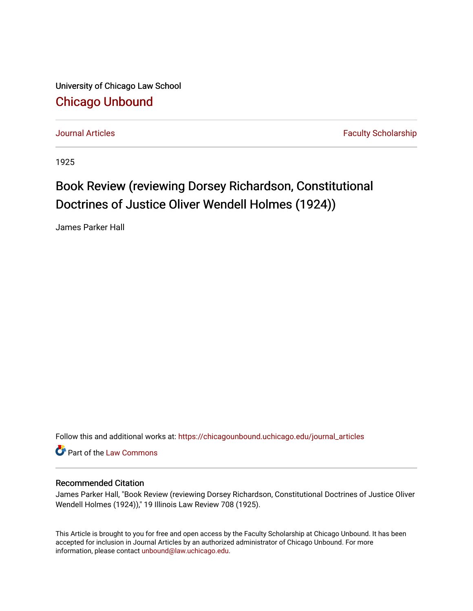University of Chicago Law School [Chicago Unbound](https://chicagounbound.uchicago.edu/)

[Journal Articles](https://chicagounbound.uchicago.edu/journal_articles) **Faculty Scholarship Journal Articles** 

1925

# Book Review (reviewing Dorsey Richardson, Constitutional Doctrines of Justice Oliver Wendell Holmes (1924))

James Parker Hall

Follow this and additional works at: [https://chicagounbound.uchicago.edu/journal\\_articles](https://chicagounbound.uchicago.edu/journal_articles?utm_source=chicagounbound.uchicago.edu%2Fjournal_articles%2F8862&utm_medium=PDF&utm_campaign=PDFCoverPages) 

Part of the [Law Commons](http://network.bepress.com/hgg/discipline/578?utm_source=chicagounbound.uchicago.edu%2Fjournal_articles%2F8862&utm_medium=PDF&utm_campaign=PDFCoverPages)

## Recommended Citation

James Parker Hall, "Book Review (reviewing Dorsey Richardson, Constitutional Doctrines of Justice Oliver Wendell Holmes (1924))," 19 Illinois Law Review 708 (1925).

This Article is brought to you for free and open access by the Faculty Scholarship at Chicago Unbound. It has been accepted for inclusion in Journal Articles by an authorized administrator of Chicago Unbound. For more information, please contact [unbound@law.uchicago.edu](mailto:unbound@law.uchicago.edu).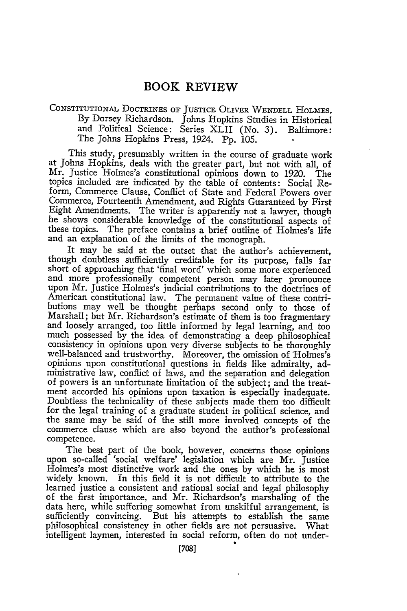# BOOK REVIEW

#### CONSTITUTIONAL DOCTRINES OF JUSTICE OLIVER **WENDELL HOLMES.** By Dorsey Richardson. Johns Hopkins Studies in Historical and Political Science: Series XLII (No. 3). Baltimore: The Johns Hopkins Press, 1924. Pp. 105.

This study, presumably written in the course of graduate work at Johns Hopkins, deals with the greater part, but not with all, of Mr. Justice Holmes's constitutional opinions down to 1920. The topics included are indicated **by** the table of contents: Social Reform, Commerce Clause, Conflict of State and Federal Powers over Commerce, Fourteenth Amendment, and Rights Guaranteed **by** First Eight Amendments. The writer is apparently not a lawyer, though he shows considerable knowledge of the constitutional aspects of these topics. The preface contains a brief outline of Holmes's life and an explanation of the limits of the monograph.

It may be said at the outset that the author's achievement, though doubtless sufficiently creditable for its purpose, falls far short of approaching that 'final word' which some more experienced and more professionally competent person may later pronounce upon Mr. Justice Holmes's judicial contributions to the doctrines of American constitutional law. The permanent value of these contributions may well be thought perhaps second only to those of Marshall; but Mr. Richardson's estimate of them is too fragmentary and loosely arranged, too little informed by legal learning, and too much possessed by the idea of demonstrating a deep philosophical consistency in opinions upon very diverse subjects to be thoroughly well-balanced and trustworthy. Moreover, the omission of Holmes's opinions upon constitutional questions in fields like admiralty, administrative law, conflict of laws, and the separation and delegation of powers is an unfortunate limitation of the subject; and the treatment accorded his opinions upon taxation is especially inadequate. Doubtless the technicality of these subjects made them too difficult for the legal training of a graduate student in political science, and the same may be said of the still more involved concepts of the commerce clause which are also beyond the author's professional competence.

The best part of the book, however, concerns those opinions upon so-called 'social welfare' legislation which are Mr. Justice Holmes's most distinctive work and the ones by which he is most widely known. In this field it is not difficult to attribute to the learned justice a consistent and rational social and legal philosophy of the first importance, and Mr. Richardson's marshaling of the data here, while suffering somewhat from unskilful arrangement, is But his attempts to establish the same philosophical consistency in other fields are not persuasive. What intelligent laymen, interested in social reform, often do not under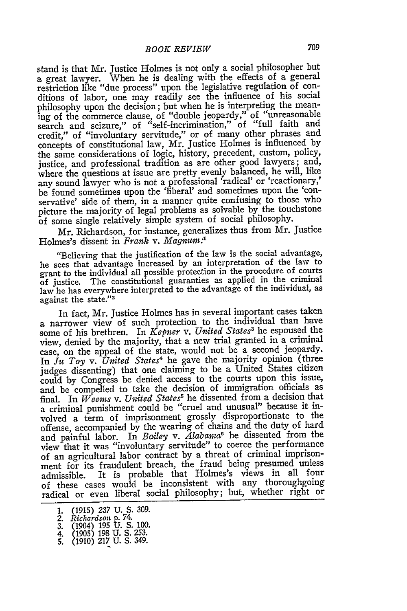stand is that Mr. Justice Holmes is not only a social philosopher but a great lawyer. When he is dealing with the effects of a general restriction like "due process" upon the legislative regulation of conditions of labor, one may readily see the influence of his social philosophy upon the decision; but when he is interpreting the meaning of the commerce clause, of "double jeopardy," of "unreasonable search and seizure," of "self-incrimination," of "full faith and credit," of "involuntary servitude," or of many other phrases and concepts of constitutional law, Mr. Justice Holmes is influenced **by** the same considerations of logic, history, precedent, custom, policy, justice, and professional tradition as are other good lawyers; and, where the questions at issue are pretty evenly balanced, he will, like any sound lawyer who is not a professional 'radical' or 'reactionary,' be found sometimes upon the 'liberal' and sometimes upon the 'conservative' side of them, in a manner quite confusing to those who picture the majority of legal problems as solvable **by** the touchstone of some single relatively simple system of social philosophy.

Mr. Richardson, for instance, generalizes thus from Mr. Justice Holmes's dissent in *Frank v. Magnum:'*

"Believing that the justification of the law is the social advantage, he sees that advantage increased **by** an interpretation of the law to grant to the individual all possible protection in the procedure of courts The constitutional guaranties as applied in the criminal law he has everywhere interpreted to the advantage of the individual, as against the state."<sup>2</sup>

In fact, Mr. Justice Holmes has in several important cases taken a narrower view of such protection to the individual than have some of his brethren. In *Kepner v. United States*<sup>3</sup> he espoused the view, denied **by** the majority, that a new trial granted in a criminal case, on the appeal of the state, would not be a second jeopardy. In *Tu Toy v. United States'* he gave the majority opinion (three judges dissenting) that one claiming to be a United States citizen could **by** Congress be denied access to the courts upon this issue, and be compelled to take the decision of immigration officials as final. In *Weems v. United States5* he dissented from a decision that a criminal punishment could be "cruel and unusual" because it involved a term of imprisonment grossly disproportionate to the offense, accompanied **by** the wearing of chains and the duty of hard and painful labor. In *Bailey v. Alabama*<sup>8</sup> he dissented from the view that it was "involuntary servitude" to coerce the performance of an agricultural labor contract **by** a threat of criminal imprisonment for its fraudulent breach, the fraud being presumed unless admissible. It is probable that Holmes's views in all four of these cases would be inconsistent with any thoroughgoing radical or even liberal social philosophy; but, whether right or

**<sup>1.</sup>** (1915) *237* **U. S. 309.** *2. Richardson* **p.** 74. 3. (1904) 195 U. S. 100. 4. (1905) 198 U. S. 253.

<sup>5.</sup> (1910) 217 U. S. 349.